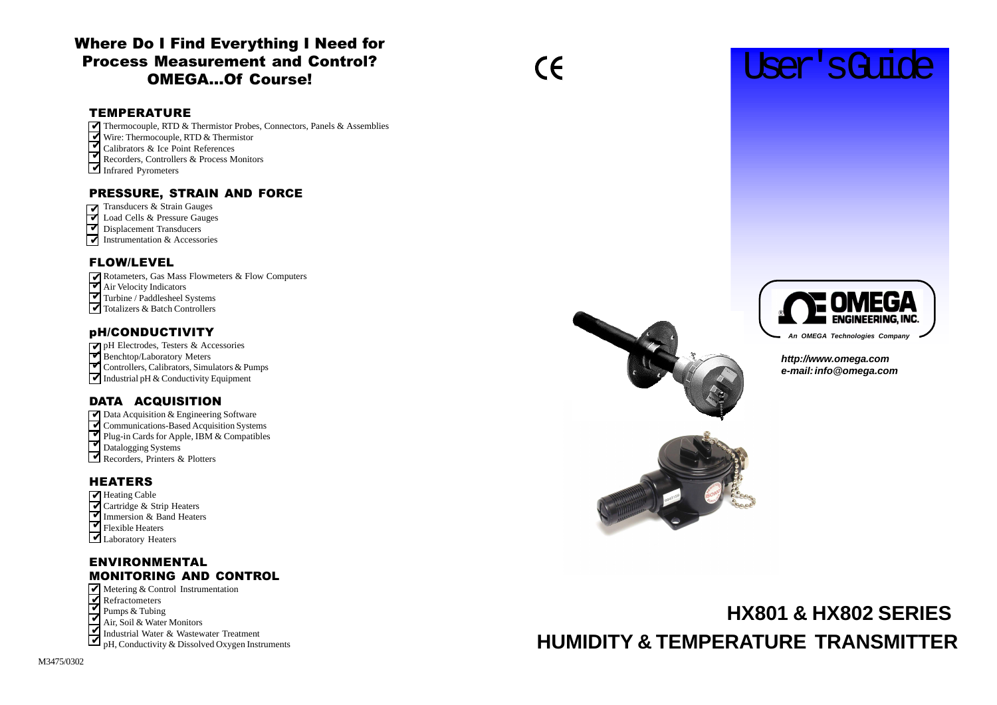## Where Do I Find Everything I Need for **Process Measurement and Control?** OMEGA...Of Course!

## **TEMPERATURE**



### **http://www.omega.com e-mail: info@omega.com**

# **HX801 & HX802 SERIES HUMIDITY & TEMPERATURE TRANSMITTER**

- Thermocouple, RTD & Thermistor Probes, Connectors, Panels & Assemblies ✔
- Wire: Thermocouple, RTD & Thermistor ✔
- Calibrators & Ice Point References ✔
- Recorders, Controllers & Process Monitors ✔
- Infrared Pyrometers

## PRESSURE, STRAIN AND FORCE

- $\overline{\mathbf{M}}$  Transducers & Strain Gauges
- $\overrightarrow{v}$  Load Cells & Pressure Gauges
- $\triangledown$  Displacement Transducers
- $\blacktriangleright$  Instrumentation & Accessories

## FLOW/LEVEL

- Rotameters, Gas Mass Flowmeters & Flow Computers  $\overline{\mathbf{V}}$
- Air Velocity Indicators ✔ ✔
- Turbine / Paddlesheel Systems ■ Totalizers & Batch Controllers

## pH/CONDUCTIVITY

- Benchtop/Laboratory Meters ✔
- ▼ Controllers, Calibrators, Simulators & Pumps
- $\blacktriangleright$  Industrial pH & Conductivity Equipment

## DATA ACQUISITION

- ◯ Data Acquisition & Engineering Software
- Communications-Based Acquisition Systems ✔
- Plug-in Cards for Apple, IBM & Compatibles ✔ ✔
- Datalogging Systems
- Recorders, Printers & Plotters

## **HEATERS**

- ▼ Heating Cable
- Cartridge & Strip Heaters <u>ব</u>
- Immersion & Band Heaters ✔
- $\overline{\mathbf{V}}$  Flexible Heaters
- Laboratory Heaters

## **ENVIRONMENTAL MONITORING AND CONTROL**

- Metering & Control Instrumentation
- Refractometers ✔
- Pumps & Tubing ✔
- Air, Soil & Water Monitors ✔
- Industrial Water & Wastewater Treatment  $\overline{\mathbf{V}}$
- pH, Conductivity & Dissolved Oxygen Instruments ✔



 $\epsilon$ 

pH Electrodes, Testers & Accessories ✔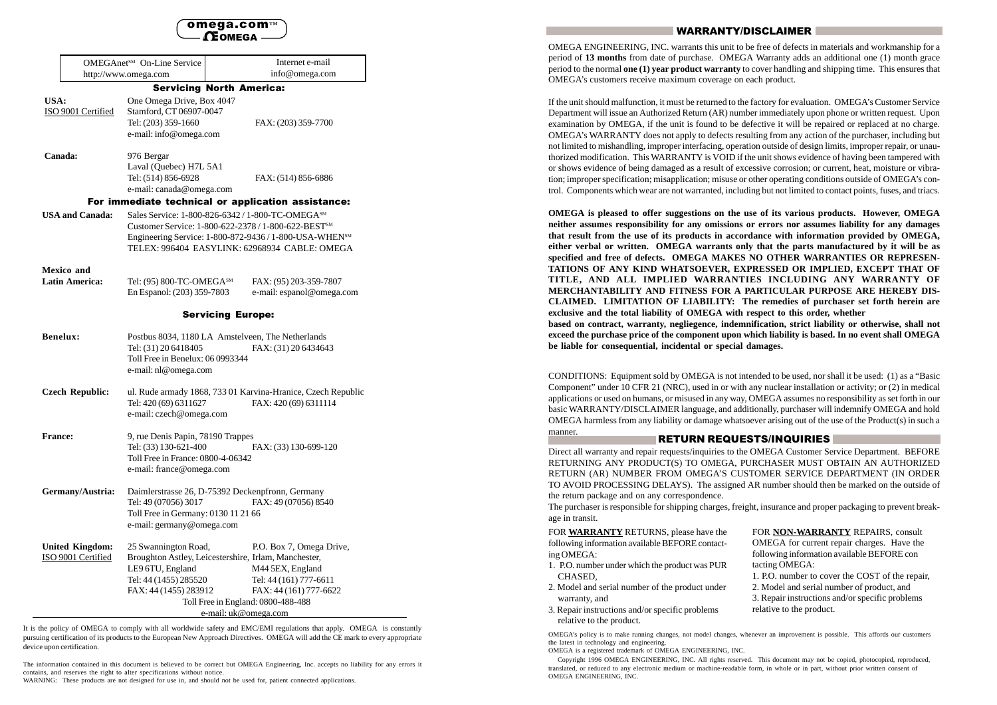#### omega.com™ **CEOMEGA**

| <b>OMEGAnetSM</b> On-Line Service                  |                                                                                                                                                      | Internet e-mail                                                                                                                                                                                                                |  |  |  |
|----------------------------------------------------|------------------------------------------------------------------------------------------------------------------------------------------------------|--------------------------------------------------------------------------------------------------------------------------------------------------------------------------------------------------------------------------------|--|--|--|
| http://www.omega.com                               |                                                                                                                                                      | info@omega.com                                                                                                                                                                                                                 |  |  |  |
|                                                    |                                                                                                                                                      | <b>Servicing North America:</b>                                                                                                                                                                                                |  |  |  |
| USA:<br>ISO 9001 Certified                         | One Omega Drive, Box 4047<br>Stamford, CT 06907-0047<br>Tel: (203) 359-1660<br>e-mail: info@omega.com                                                | FAX: (203) 359-7700                                                                                                                                                                                                            |  |  |  |
| Canada:                                            | 976 Bergar<br>Laval (Quebec) H7L 5A1<br>Tel: (514) 856-6928<br>e-mail: canada@omega.com                                                              | FAX: (514) 856-6886                                                                                                                                                                                                            |  |  |  |
| For immediate technical or application assistance: |                                                                                                                                                      |                                                                                                                                                                                                                                |  |  |  |
| <b>USA and Canada:</b>                             |                                                                                                                                                      | Sales Service: 1-800-826-6342 / 1-800-TC-OMEGA <sup>SM</sup><br>Customer Service: 1-800-622-2378 / 1-800-622-BESTSM<br>Engineering Service: 1-800-872-9436 / 1-800-USA-WHENSM<br>TELEX: 996404 EASYLINK: 62968934 CABLE: OMEGA |  |  |  |
| <b>Mexico</b> and<br><b>Latin America:</b>         | Tel: (95) 800-TC-OMEGA <sup>SM</sup><br>En Espanol: (203) 359-7803                                                                                   | FAX: (95) 203-359-7807<br>e-mail: espanol@omega.com                                                                                                                                                                            |  |  |  |
| <b>Servicing Europe:</b>                           |                                                                                                                                                      |                                                                                                                                                                                                                                |  |  |  |
| <b>Benelux:</b>                                    | Tel: (31) 20 6418405<br>Toll Free in Benelux: 06 0993344<br>e-mail: nl@omega.com                                                                     | Postbus 8034, 1180 LA Amstelveen, The Netherlands<br>FAX: (31) 20 6434643                                                                                                                                                      |  |  |  |
| <b>Czech Republic:</b>                             | Tel: 420 (69) 6311627<br>e-mail: czech@omega.com                                                                                                     | ul. Rude armady 1868, 733 01 Karvina-Hranice, Czech Republic<br>FAX: 420 (69) 6311114                                                                                                                                          |  |  |  |
| <b>France:</b>                                     | 9, rue Denis Papin, 78190 Trappes<br>Tel: (33) 130-621-400<br>FAX: (33) 130-699-120<br>Toll Free in France: 0800-4-06342<br>e-mail: france@omega.com |                                                                                                                                                                                                                                |  |  |  |
| Germany/Austria:                                   | Tel: 49 (07056) 3017<br>Toll Free in Germany: 0130 11 21 66<br>e-mail: germany@omega.com                                                             | Daimlerstrasse 26, D-75392 Deckenpfronn, Germany<br>FAX: 49 (07056) 8540                                                                                                                                                       |  |  |  |
| <b>United Kingdom:</b><br>ISO 9001 Certified       | 25 Swannington Road,<br>LE9 6TU, England<br>Tel: 44 (1455) 285520<br>FAX: 44 (1455) 283912                                                           | P.O. Box 7, Omega Drive,<br>Broughton Astley, Leicestershire, Irlam, Manchester,<br>M44 5EX, England<br>Tel: 44 (161) 777-6611<br>FAX: 44 (161) 777-6622<br>Toll Free in England: 0800-488-488                                 |  |  |  |

e-mail: uk@omega.com

It is the policy of OMEGA to comply with all worldwide safety and EMC/EMI regulations that apply. OMEGA is constantly pursuing certification of its products to the European New Approach Directives. OMEGA will add the CE mark to every appropriate device upon certification.

The information contained in this document is believed to be correct but OMEGA Engineering, Inc. accepts no liability for any errors it contains, and reserves the right to alter specifications without notice.

WARNING: These products are not designed for use in, and should not be used for, patient connected applications.

#### WARRANTY/DISCLAIMER

OMEGA ENGINEERING, INC. warrants this unit to be free of defects in materials and workmanship for a period of **13 months** from date of purchase. OMEGA Warranty adds an additional one (1) month grace period to the normal **one (1) year product warranty** to cover handling and shipping time. This ensures that OMEGA's customers receive maximum coverage on each product.

If the unit should malfunction, it must be returned to the factory for evaluation. OMEGA's Customer Service Department will issue an Authorized Return (AR) number immediately upon phone or written request. Upon examination by OMEGA, if the unit is found to be defective it will be repaired or replaced at no charge. OMEGA's WARRANTY does not apply to defects resulting from any action of the purchaser, including but not limited to mishandling, improper interfacing, operation outside of design limits, improper repair, or unauthorized modification. This WARRANTY is VOID if the unit shows evidence of having been tampered with or shows evidence of being damaged as a result of excessive corrosion; or current, heat, moisture or vibration; improper specification; misapplication; misuse or other operating conditions outside of OMEGA's control. Components which wear are not warranted, including but not limited to contact points, fuses, and triacs.

**OMEGA is pleased to offer suggestions on the use of its various products. However, OMEGA neither assumes responsibility for any omissions or errors nor assumes liability for any damages that result from the use of its products in accordance with information provided by OMEGA, either verbal or written. OMEGA warrants only that the parts manufactured by it will be as specified and free of defects. OMEGA MAKES NO OTHER WARRANTIES OR REPRESEN-TATIONS OF ANY KIND WHATSOEVER, EXPRESSED OR IMPLIED, EXCEPT THAT OF TITLE, AND ALL IMPLIED WARRANTIES INCLUDING ANY WARRANTY OF MERCHANTABILITY AND FITNESS FOR A PARTICULAR PURPOSE ARE HEREBY DIS-CLAIMED. LIMITATION OF LIABILITY: The remedies of purchaser set forth herein are exclusive and the total liability of OMEGA with respect to this order, whether based on contract, warranty, negliegence, indemnification, strict liability or otherwise, shall not exceed the purchase price of the component upon which liability is based. In no event shall OMEGA be liable for consequential, incidental or special damages.**

CONDITIONS: Equipment sold by OMEGA is not intended to be used, nor shall it be used: (1) as a "Basic Component" under 10 CFR 21 (NRC), used in or with any nuclear installation or activity; or (2) in medical applications or used on humans, or misused in any way, OMEGA assumes no responsibility as set forth in our basic WARRANTY/DISCLAIMER language, and additionally, purchaser will indemnify OMEGA and hold OMEGA harmless from any liability or damage whatsoever arising out of the use of the Product(s) in such a manner.

#### RETURN REQUESTS/INQUIRIES

Direct all warranty and repair requests/inquiries to the OMEGA Customer Service Department. BEFORE RETURNING ANY PRODUCT(S) TO OMEGA, PURCHASER MUST OBTAIN AN AUTHORIZED RETURN (AR) NUMBER FROM OMEGA'S CUSTOMER SERVICE DEPARTMENT (IN ORDER TO AVOID PROCESSING DELAYS). The assigned AR number should then be marked on the outside of the return package and on any correspondence. The purchaser is responsible for shipping charges, freight, insurance and proper packaging to prevent break-

age in transit.

FOR **WARRANTY** RETURNS, please have the following information available BEFORE contacting OMEGA:

- 1. P.O. number under which the product was PUR CHASED,
- 2. Model and serial number of the product under warranty, and
- 3. Repair instructions and/or specific problems relative to the product.

FOR **NON-WARRANTY** REPAIRS, consult OMEGA for current repair charges. Have the following information available BEFORE con tacting OMEGA:

1. P.O. number to cover the COST of the repair, 2. Model and serial number of product, and 3. Repair instructions and/or specific problems relative to the product.

OMEGA's policy is to make running changes, not model changes, whenever an improvement is possible. This affords our customers the latest in technology and engineering.

OMEGA is a registered trademark of OMEGA ENGINEERING, INC.

 Copyright 1996 OMEGA ENGINEERING, INC. All rights reserved. This document may not be copied, photocopied, reproduced, translated, or reduced to any electronic medium or machine-readable form, in whole or in part, without prior written consent of OMEGA ENGINEERING, INC.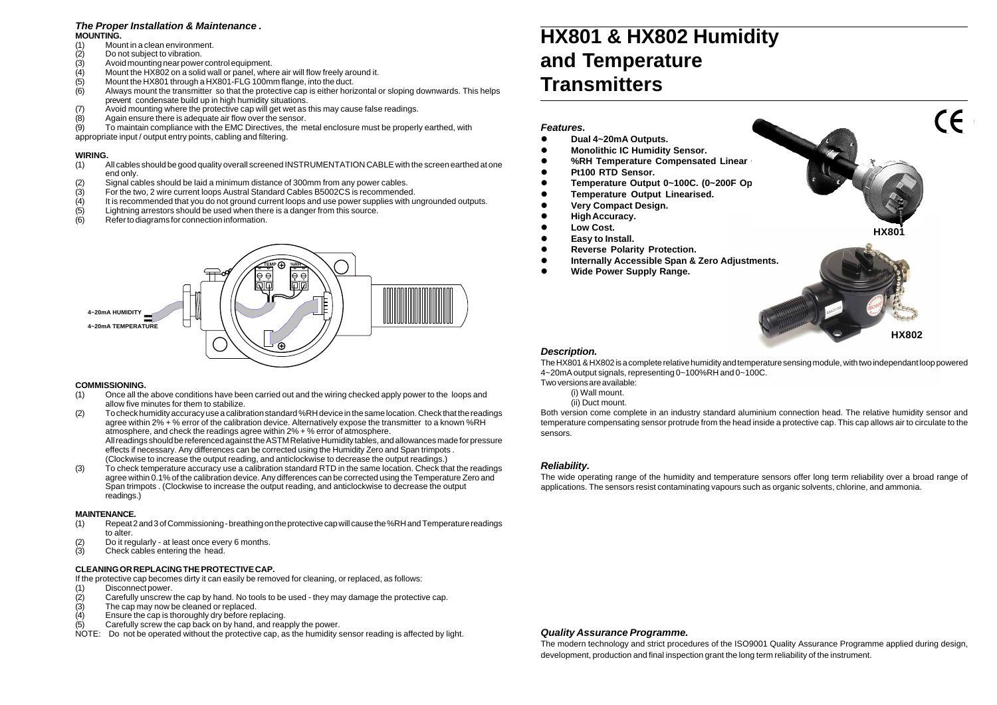#### **Description.**

The HX801 & HX802 is a complete relative humidity and temperature sensing module, with two independant loop powered 4~20mA output signals, representing 0~100%RH and 0~100C. Two versions are available:

- (i) Wall mount.
- (ii) Duct mount.

Both version come complete in an industry standard aluminium connection head. The relative humidity sensor and temperature compensating sensor protrude from the head inside a protective cap. This cap allows air to circulate to the sensors.

#### **Reliability.**

The wide operating range of the humidity and temperature sensors offer long term reliability over a broad range of applications. The sensors resist contaminating vapours such as organic solvents, chlorine, and ammonia.

#### **Quality Assurance Programme.**

- (1) Mount in a clean environment.
- (2) Do not subject to vibration.
- $(3)$  Avoid mounting near power control equipment.<br>(4) Mount the HX802 on a solid wall or panel, whe
- Mount the HX802 on a solid wall or panel, where air will flow freely around it.
- (5) Mount the HX801 through a HX801-FLG 100mm flange, into the duct.
- (6) Always mount the transmitter so that the protective cap is either horizontal or sloping downwards. This helps prevent condensate build up in high humidity situations.
- (7) Avoid mounting where the protective cap will get wet as this may cause false readings.
- $(8)$  Again ensure there is adequate air flow over the sensor.<br>(9) To maintain compliance with the EMC Directives, the m

To maintain compliance with the EMC Directives, the metal enclosure must be properly earthed, with

The modern technology and strict procedures of the ISO9001 Quality Assurance Programme applied during design, development, production and final inspection grant the long term reliability of the instrument.



## **HX801 & HX802 Humidity and Temperature Transmitters**

#### **Features.**



- **Dual 4~20mA Outputs.**
- **Monolithic IC Humidity Sensor.**
- **%RH Temperature Compensated Linear**
- **Pt100 RTD Sensor.**
- Temperature Output 0~100C. (0~200F Op
- **Temperature Output Linearised.**
- **Very Compact Design.**
- **High Accuracy.**
- **Low Cost.**
- **Easy to Install.**
- **Reverse Polarity Protection.**
- **Internally Accessible Span & Zero Adjustments.**
- **Wide Power Supply Range.**

#### **The Proper Installation & Maintenance . MOUNTING.**

appropriate input / output entry points, cabling and filtering.

#### **WIRING.**

- (1) All cables should be good quality overall screened INSTRUMENTATION CABLE with the screen earthed at one end only.
- (2) Signal cables should be laid a minimum distance of 300mm from any power cables.<br>(3) For the two, 2 wire current loops Austral Standard Cables B5002CS is recommende
- For the two, 2 wire current loops Austral Standard Cables B5002CS is recommended.
- (4) It is recommended that you do not ground current loops and use power supplies with ungrounded outputs.<br>(5) Lightning arrestors should be used when there is a danger from this source.
- Lightning arrestors should be used when there is a danger from this source.
- (6) Refer to diagrams for connection information.

#### **COMMISSIONING.**

- (1) Once all the above conditions have been carried out and the wiring checked apply power to the loops and allow five minutes for them to stabilize.
- (2) To check humidity accuracy use a calibration standard %RH device in the same location. Check that the readings agree within 2% + % error of the calibration device. Alternatively expose the transmitter to a known %RH atmosphere, and check the readings agree within 2% + % error of atmosphere. All readings should be referenced against the ASTM Relative Humidity tables, and allowances made for pressure effects if necessary. Any differences can be corrected using the Humidity Zero and Span trimpots . (Clockwise to increase the output reading, and anticlockwise to decrease the output readings.)
- (3) To check temperature accuracy use a calibration standard RTD in the same location. Check that the readings agree within 0.1% of the calibration device. Any differences can be corrected using the Temperature Zero and Span trimpots . (Clockwise to increase the output reading, and anticlockwise to decrease the output readings.)

#### **MAINTENANCE.**

- (1) Repeat 2 and 3 of Commissioning breathing on the protective cap will cause the %RH and Temperature readings to alter.
- (2) Do it regularly at least once every 6 months.
- (3) Check cables entering the head.

#### **CLEANING OR REPLACING THE PROTECTIVE CAP.**

If the protective cap becomes dirty it can easily be removed for cleaning, or replaced, as follows:

- (1) Disconnect power.
- $(2)$  Carefully unscrew the cap by hand. No tools to be used they may damage the protective cap.
- (3) The cap may now be cleaned or replaced.
- (4) Ensure the cap is thoroughly dry before replacing.
- (5) Carefully screw the cap back on by hand, and reapply the power.
- NOTE: Do not be operated without the protective cap, as the humidity sensor reading is affected by light.